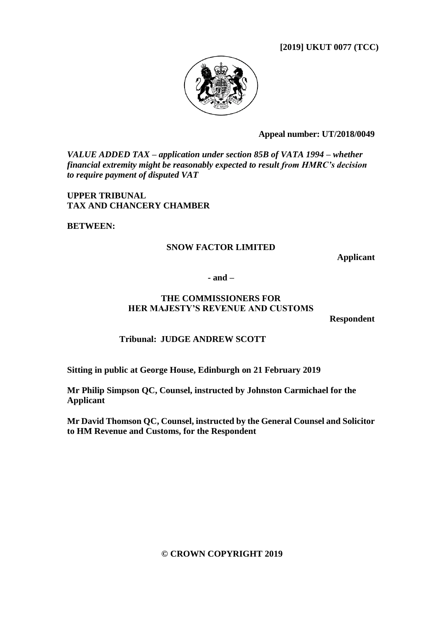**[2019] UKUT 0077 (TCC)**



**Appeal number: UT/2018/0049**

*VALUE ADDED TAX – application under section 85B of VATA 1994 – whether financial extremity might be reasonably expected to result from HMRC's decision to require payment of disputed VAT*

**UPPER TRIBUNAL TAX AND CHANCERY CHAMBER**

**BETWEEN:**

### **SNOW FACTOR LIMITED**

**Applicant**

**- and –**

### **THE COMMISSIONERS FOR HER MAJESTY'S REVENUE AND CUSTOMS**

**Respondent**

### **Tribunal: JUDGE ANDREW SCOTT**

**Sitting in public at George House, Edinburgh on 21 February 2019**

**Mr Philip Simpson QC, Counsel, instructed by Johnston Carmichael for the Applicant**

**Mr David Thomson QC, Counsel, instructed by the General Counsel and Solicitor to HM Revenue and Customs, for the Respondent**

#### **© CROWN COPYRIGHT 2019**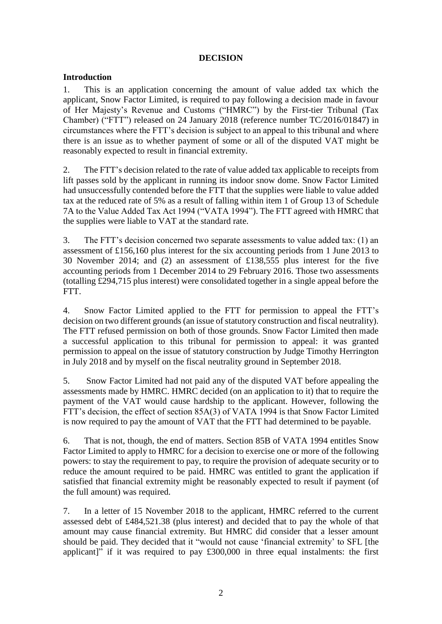### **DECISION**

### **Introduction**

1. This is an application concerning the amount of value added tax which the applicant, Snow Factor Limited, is required to pay following a decision made in favour of Her Majesty's Revenue and Customs ("HMRC") by the First-tier Tribunal (Tax Chamber) ("FTT") released on 24 January 2018 (reference number TC/2016/01847) in circumstances where the FTT's decision is subject to an appeal to this tribunal and where there is an issue as to whether payment of some or all of the disputed VAT might be reasonably expected to result in financial extremity.

2. The FTT's decision related to the rate of value added tax applicable to receipts from lift passes sold by the applicant in running its indoor snow dome. Snow Factor Limited had unsuccessfully contended before the FTT that the supplies were liable to value added tax at the reduced rate of 5% as a result of falling within item 1 of Group 13 of Schedule 7A to the Value Added Tax Act 1994 ("VATA 1994"). The FTT agreed with HMRC that the supplies were liable to VAT at the standard rate.

3. The FTT's decision concerned two separate assessments to value added tax: (1) an assessment of £156,160 plus interest for the six accounting periods from 1 June 2013 to 30 November 2014; and (2) an assessment of £138,555 plus interest for the five accounting periods from 1 December 2014 to 29 February 2016. Those two assessments (totalling £294,715 plus interest) were consolidated together in a single appeal before the FTT.

4. Snow Factor Limited applied to the FTT for permission to appeal the FTT's decision on two different grounds (an issue of statutory construction and fiscal neutrality). The FTT refused permission on both of those grounds. Snow Factor Limited then made a successful application to this tribunal for permission to appeal: it was granted permission to appeal on the issue of statutory construction by Judge Timothy Herrington in July 2018 and by myself on the fiscal neutrality ground in September 2018.

5. Snow Factor Limited had not paid any of the disputed VAT before appealing the assessments made by HMRC. HMRC decided (on an application to it) that to require the payment of the VAT would cause hardship to the applicant. However, following the FTT's decision, the effect of section 85A(3) of VATA 1994 is that Snow Factor Limited is now required to pay the amount of VAT that the FTT had determined to be payable.

6. That is not, though, the end of matters. Section 85B of VATA 1994 entitles Snow Factor Limited to apply to HMRC for a decision to exercise one or more of the following powers: to stay the requirement to pay, to require the provision of adequate security or to reduce the amount required to be paid. HMRC was entitled to grant the application if satisfied that financial extremity might be reasonably expected to result if payment (of the full amount) was required.

7. In a letter of 15 November 2018 to the applicant, HMRC referred to the current assessed debt of £484,521.38 (plus interest) and decided that to pay the whole of that amount may cause financial extremity. But HMRC did consider that a lesser amount should be paid. They decided that it "would not cause 'financial extremity' to SFL [the applicant]" if it was required to pay £300,000 in three equal instalments: the first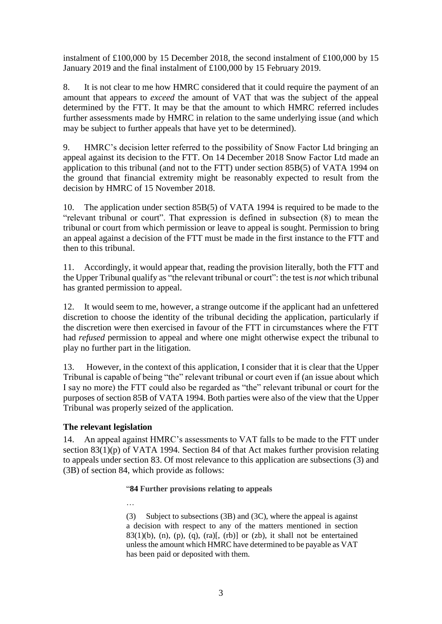instalment of £100,000 by 15 December 2018, the second instalment of £100,000 by 15 January 2019 and the final instalment of £100,000 by 15 February 2019.

8. It is not clear to me how HMRC considered that it could require the payment of an amount that appears to *exceed* the amount of VAT that was the subject of the appeal determined by the FTT. It may be that the amount to which HMRC referred includes further assessments made by HMRC in relation to the same underlying issue (and which may be subject to further appeals that have yet to be determined).

9. HMRC's decision letter referred to the possibility of Snow Factor Ltd bringing an appeal against its decision to the FTT. On 14 December 2018 Snow Factor Ltd made an application to this tribunal (and not to the FTT) under section 85B(5) of VATA 1994 on the ground that financial extremity might be reasonably expected to result from the decision by HMRC of 15 November 2018.

10. The application under section 85B(5) of VATA 1994 is required to be made to the "relevant tribunal or court". That expression is defined in subsection (8) to mean the tribunal or court from which permission or leave to appeal is sought. Permission to bring an appeal against a decision of the FTT must be made in the first instance to the FTT and then to this tribunal.

11. Accordingly, it would appear that, reading the provision literally, both the FTT and the Upper Tribunal qualify as "the relevant tribunal or court": the test is *not* which tribunal has granted permission to appeal.

12. It would seem to me, however, a strange outcome if the applicant had an unfettered discretion to choose the identity of the tribunal deciding the application, particularly if the discretion were then exercised in favour of the FTT in circumstances where the FTT had *refused* permission to appeal and where one might otherwise expect the tribunal to play no further part in the litigation.

13. However, in the context of this application, I consider that it is clear that the Upper Tribunal is capable of being "the" relevant tribunal or court even if (an issue about which I say no more) the FTT could also be regarded as "the" relevant tribunal or court for the purposes of section 85B of VATA 1994. Both parties were also of the view that the Upper Tribunal was properly seized of the application.

### **The relevant legislation**

…

14. An appeal against HMRC's assessments to VAT falls to be made to the FTT under section 83(1)(p) of VATA 1994. Section 84 of that Act makes further provision relating to appeals under section 83. Of most relevance to this application are subsections (3) and (3B) of section 84, which provide as follows:

### "**84 Further provisions relating to appeals**

(3) Subject to subsections (3B) and (3C), where the appeal is against a decision with respect to any of the matters mentioned in section  $83(1)(b)$ , (n), (p), (q), (ra)[, (rb)] or (zb), it shall not be entertained unlessthe amount which HMRC have determined to be payable as VAT has been paid or deposited with them.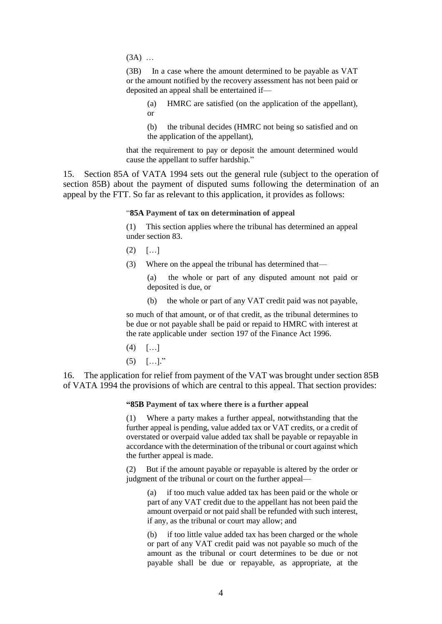(3A) …

(3B) In a case where the amount determined to be payable as VAT or the amount notified by the recovery assessment has not been paid or deposited an appeal shall be entertained if—

(a) HMRC are satisfied (on the application of the appellant), or

(b) the tribunal decides (HMRC not being so satisfied and on the application of the appellant),

that the requirement to pay or deposit the amount determined would cause the appellant to suffer hardship."

15. Section 85A of VATA 1994 sets out the general rule (subject to the operation of section 85B) about the payment of disputed sums following the determination of an appeal by the FTT. So far as relevant to this application, it provides as follows:

"**85A Payment of tax on determination of appeal**

(1) This section applies where the tribunal has determined an appeal under section 83.

- $(2)$   $[...]$
- (3) Where on the appeal the tribunal has determined that—

(a) the whole or part of any disputed amount not paid or deposited is due, or

(b) the whole or part of any VAT credit paid was not payable,

so much of that amount, or of that credit, as the tribunal determines to be due or not payable shall be paid or repaid to HMRC with interest at the rate applicable under section 197 of the Finance Act 1996.

- $(4)$   $[...]$
- $(5)$   $[...]$ ."

16. The application for relief from payment of the VAT was brought under section 85B of VATA 1994 the provisions of which are central to this appeal. That section provides:

**"85B Payment of tax where there is a further appeal**

(1) Where a party makes a further appeal, notwithstanding that the further appeal is pending, value added tax or VAT credits, or a credit of overstated or overpaid value added tax shall be payable or repayable in accordance with the determination of the tribunal or court against which the further appeal is made.

(2) But if the amount payable or repayable is altered by the order or judgment of the tribunal or court on the further appeal—

(a) if too much value added tax has been paid or the whole or part of any VAT credit due to the appellant has not been paid the amount overpaid or not paid shall be refunded with such interest, if any, as the tribunal or court may allow; and

(b) if too little value added tax has been charged or the whole or part of any VAT credit paid was not payable so much of the amount as the tribunal or court determines to be due or not payable shall be due or repayable, as appropriate, at the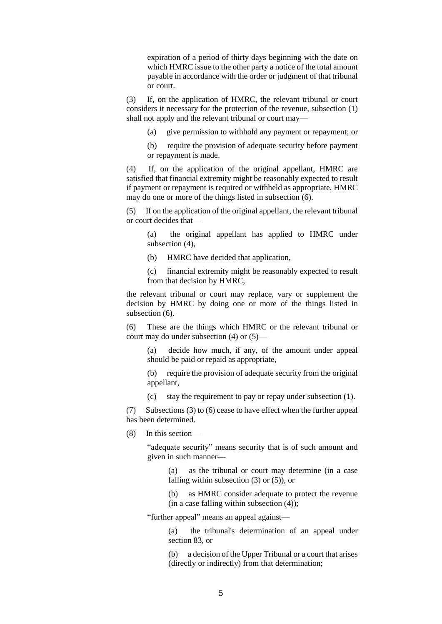expiration of a period of thirty days beginning with the date on which HMRC issue to the other party a notice of the total amount payable in accordance with the order or judgment of that tribunal or court.

(3) If, on the application of HMRC, the relevant tribunal or court considers it necessary for the protection of the revenue, subsection (1) shall not apply and the relevant tribunal or court may—

(a) give permission to withhold any payment or repayment; or

(b) require the provision of adequate security before payment or repayment is made.

(4) If, on the application of the original appellant, HMRC are satisfied that financial extremity might be reasonably expected to result if payment or repayment is required or withheld as appropriate, HMRC may do one or more of the things listed in subsection (6).

(5) If on the application of the original appellant, the relevant tribunal or court decides that—

(a) the original appellant has applied to HMRC under subsection (4),

(b) HMRC have decided that application,

(c) financial extremity might be reasonably expected to result from that decision by HMRC,

the relevant tribunal or court may replace, vary or supplement the decision by HMRC by doing one or more of the things listed in subsection  $(6)$ .

(6) These are the things which HMRC or the relevant tribunal or court may do under subsection (4) or (5)—

(a) decide how much, if any, of the amount under appeal should be paid or repaid as appropriate,

(b) require the provision of adequate security from the original appellant,

(c) stay the requirement to pay or repay under subsection (1).

(7) Subsections (3) to (6) cease to have effect when the further appeal has been determined.

(8) In this section—

"adequate security" means security that is of such amount and given in such manner—

(a) as the tribunal or court may determine (in a case falling within subsection  $(3)$  or  $(5)$ ), or

(b) as HMRC consider adequate to protect the revenue  $(in a case falling within subsection (4));$ 

"further appeal" means an appeal against—

(a) the tribunal's determination of an appeal under section 83, or

(b) a decision of the Upper Tribunal or a court that arises (directly or indirectly) from that determination;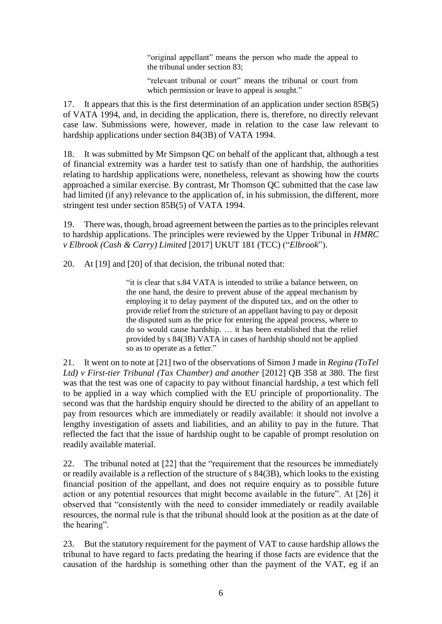"original appellant" means the person who made the appeal to the tribunal under section 83;

"relevant tribunal or court" means the tribunal or court from which permission or leave to appeal is sought."

17. It appears that this is the first determination of an application under section 85B(5) of VATA 1994, and, in deciding the application, there is, therefore, no directly relevant case law. Submissions were, however, made in relation to the case law relevant to hardship applications under section 84(3B) of VATA 1994.

18. It was submitted by Mr Simpson QC on behalf of the applicant that, although a test of financial extremity was a harder test to satisfy than one of hardship, the authorities relating to hardship applications were, nonetheless, relevant as showing how the courts approached a similar exercise. By contrast, Mr Thomson QC submitted that the case law had limited (if any) relevance to the application of, in his submission, the different, more stringent test under section 85B(5) of VATA 1994.

19. There was, though, broad agreement between the parties as to the principles relevant to hardship applications. The principles were reviewed by the Upper Tribunal in *HMRC v Elbrook (Cash & Carry) Limited* [2017] UKUT 181 (TCC) ("*Elbrook*").

20. At [19] and [20] of that decision, the tribunal noted that:

"it is clear that s.84 VATA is intended to strike a balance between, on the one hand, the desire to prevent abuse of the appeal mechanism by employing it to delay payment of the disputed tax, and on the other to provide relief from the stricture of an appellant having to pay or deposit the disputed sum as the price for entering the appeal process, where to do so would cause hardship. … it has been established that the relief provided by s 84(3B) VATA in cases of hardship should not be applied so as to operate as a fetter."

21. It went on to note at [21] two of the observations of Simon J made in *Regina (ToTel Ltd) v First-tier Tribunal (Tax Chamber) and another* [2012] QB 358 at 380. The first was that the test was one of capacity to pay without financial hardship, a test which fell to be applied in a way which complied with the EU principle of proportionality. The second was that the hardship enquiry should be directed to the ability of an appellant to pay from resources which are immediately or readily available: it should not involve a lengthy investigation of assets and liabilities, and an ability to pay in the future. That reflected the fact that the issue of hardship ought to be capable of prompt resolution on readily available material.

22. The tribunal noted at [22] that the "requirement that the resources be immediately or readily available is a reflection of the structure of s 84(3B), which looks to the existing financial position of the appellant, and does not require enquiry as to possible future action or any potential resources that might become available in the future". At [26] it observed that "consistently with the need to consider immediately or readily available resources, the normal rule is that the tribunal should look at the position as at the date of the hearing".

23. But the statutory requirement for the payment of VAT to cause hardship allows the tribunal to have regard to facts predating the hearing if those facts are evidence that the causation of the hardship is something other than the payment of the VAT, eg if an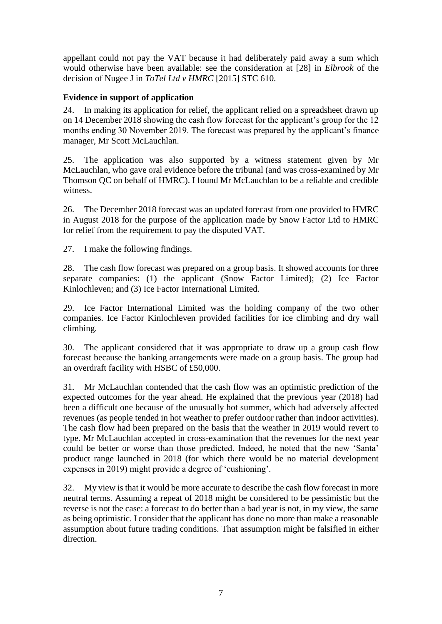appellant could not pay the VAT because it had deliberately paid away a sum which would otherwise have been available: see the consideration at [28] in *Elbrook* of the decision of Nugee J in *ToTel Ltd v HMRC* [2015] STC 610.

## **Evidence in support of application**

24. In making its application for relief, the applicant relied on a spreadsheet drawn up on 14 December 2018 showing the cash flow forecast for the applicant's group for the 12 months ending 30 November 2019. The forecast was prepared by the applicant's finance manager, Mr Scott McLauchlan.

25. The application was also supported by a witness statement given by Mr McLauchlan, who gave oral evidence before the tribunal (and was cross-examined by Mr Thomson QC on behalf of HMRC). I found Mr McLauchlan to be a reliable and credible witness.

26. The December 2018 forecast was an updated forecast from one provided to HMRC in August 2018 for the purpose of the application made by Snow Factor Ltd to HMRC for relief from the requirement to pay the disputed VAT.

27. I make the following findings.

28. The cash flow forecast was prepared on a group basis. It showed accounts for three separate companies: (1) the applicant (Snow Factor Limited); (2) Ice Factor Kinlochleven; and (3) Ice Factor International Limited.

29. Ice Factor International Limited was the holding company of the two other companies. Ice Factor Kinlochleven provided facilities for ice climbing and dry wall climbing.

30. The applicant considered that it was appropriate to draw up a group cash flow forecast because the banking arrangements were made on a group basis. The group had an overdraft facility with HSBC of £50,000.

31. Mr McLauchlan contended that the cash flow was an optimistic prediction of the expected outcomes for the year ahead. He explained that the previous year (2018) had been a difficult one because of the unusually hot summer, which had adversely affected revenues (as people tended in hot weather to prefer outdoor rather than indoor activities). The cash flow had been prepared on the basis that the weather in 2019 would revert to type. Mr McLauchlan accepted in cross-examination that the revenues for the next year could be better or worse than those predicted. Indeed, he noted that the new 'Santa' product range launched in 2018 (for which there would be no material development expenses in 2019) might provide a degree of 'cushioning'.

32. My view is that it would be more accurate to describe the cash flow forecast in more neutral terms. Assuming a repeat of 2018 might be considered to be pessimistic but the reverse is not the case: a forecast to do better than a bad year is not, in my view, the same as being optimistic. I consider that the applicant has done no more than make a reasonable assumption about future trading conditions. That assumption might be falsified in either direction.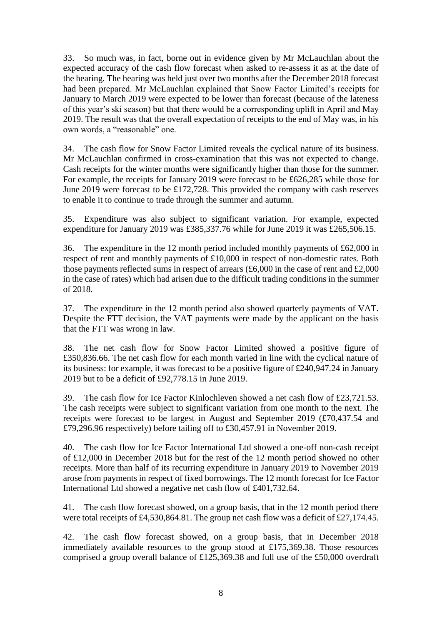33. So much was, in fact, borne out in evidence given by Mr McLauchlan about the expected accuracy of the cash flow forecast when asked to re-assess it as at the date of the hearing. The hearing was held just over two months after the December 2018 forecast had been prepared. Mr McLauchlan explained that Snow Factor Limited's receipts for January to March 2019 were expected to be lower than forecast (because of the lateness of this year's ski season) but that there would be a corresponding uplift in April and May 2019. The result was that the overall expectation of receipts to the end of May was, in his own words, a "reasonable" one.

34. The cash flow for Snow Factor Limited reveals the cyclical nature of its business. Mr McLauchlan confirmed in cross-examination that this was not expected to change. Cash receipts for the winter months were significantly higher than those for the summer. For example, the receipts for January 2019 were forecast to be £626,285 while those for June 2019 were forecast to be £172,728. This provided the company with cash reserves to enable it to continue to trade through the summer and autumn.

35. Expenditure was also subject to significant variation. For example, expected expenditure for January 2019 was £385,337.76 while for June 2019 it was £265,506.15.

36. The expenditure in the 12 month period included monthly payments of £62,000 in respect of rent and monthly payments of £10,000 in respect of non-domestic rates. Both those payments reflected sums in respect of arrears (£6,000 in the case of rent and £2,000 in the case of rates) which had arisen due to the difficult trading conditions in the summer of 2018.

37. The expenditure in the 12 month period also showed quarterly payments of VAT. Despite the FTT decision, the VAT payments were made by the applicant on the basis that the FTT was wrong in law.

38. The net cash flow for Snow Factor Limited showed a positive figure of £350,836.66. The net cash flow for each month varied in line with the cyclical nature of its business: for example, it was forecast to be a positive figure of £240,947.24 in January 2019 but to be a deficit of £92,778.15 in June 2019.

39. The cash flow for Ice Factor Kinlochleven showed a net cash flow of £23,721.53. The cash receipts were subject to significant variation from one month to the next. The receipts were forecast to be largest in August and September 2019 (£70,437.54 and £79,296.96 respectively) before tailing off to £30,457.91 in November 2019.

40. The cash flow for Ice Factor International Ltd showed a one-off non-cash receipt of £12,000 in December 2018 but for the rest of the 12 month period showed no other receipts. More than half of its recurring expenditure in January 2019 to November 2019 arose from payments in respect of fixed borrowings. The 12 month forecast for Ice Factor International Ltd showed a negative net cash flow of £401,732.64.

41. The cash flow forecast showed, on a group basis, that in the 12 month period there were total receipts of £4,530,864.81. The group net cash flow was a deficit of £27,174.45.

42. The cash flow forecast showed, on a group basis, that in December 2018 immediately available resources to the group stood at £175,369.38. Those resources comprised a group overall balance of £125,369.38 and full use of the £50,000 overdraft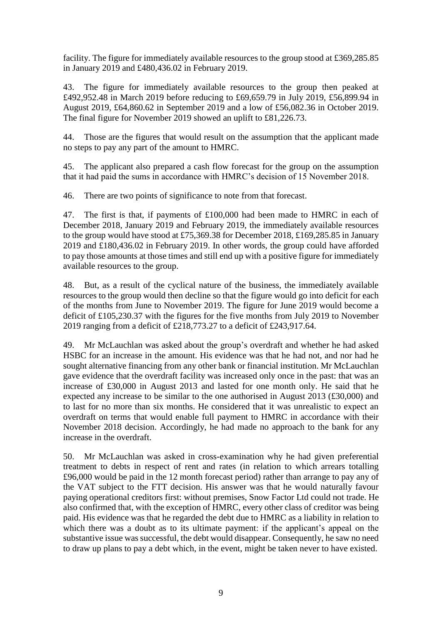facility. The figure for immediately available resources to the group stood at £369,285.85 in January 2019 and £480,436.02 in February 2019.

43. The figure for immediately available resources to the group then peaked at £492,952.48 in March 2019 before reducing to £69,659.79 in July 2019, £56,899.94 in August 2019, £64,860.62 in September 2019 and a low of £56,082.36 in October 2019. The final figure for November 2019 showed an uplift to £81,226.73.

44. Those are the figures that would result on the assumption that the applicant made no steps to pay any part of the amount to HMRC.

45. The applicant also prepared a cash flow forecast for the group on the assumption that it had paid the sums in accordance with HMRC's decision of 15 November 2018.

46. There are two points of significance to note from that forecast.

47. The first is that, if payments of £100,000 had been made to HMRC in each of December 2018, January 2019 and February 2019, the immediately available resources to the group would have stood at £75,369.38 for December 2018, £169,285.85 in January 2019 and £180,436.02 in February 2019. In other words, the group could have afforded to pay those amounts at those times and still end up with a positive figure for immediately available resources to the group.

48. But, as a result of the cyclical nature of the business, the immediately available resources to the group would then decline so that the figure would go into deficit for each of the months from June to November 2019. The figure for June 2019 would become a deficit of £105,230.37 with the figures for the five months from July 2019 to November 2019 ranging from a deficit of £218,773.27 to a deficit of £243,917.64.

49. Mr McLauchlan was asked about the group's overdraft and whether he had asked HSBC for an increase in the amount. His evidence was that he had not, and nor had he sought alternative financing from any other bank or financial institution. Mr McLauchlan gave evidence that the overdraft facility was increased only once in the past: that was an increase of £30,000 in August 2013 and lasted for one month only. He said that he expected any increase to be similar to the one authorised in August 2013 (£30,000) and to last for no more than six months. He considered that it was unrealistic to expect an overdraft on terms that would enable full payment to HMRC in accordance with their November 2018 decision. Accordingly, he had made no approach to the bank for any increase in the overdraft.

50. Mr McLauchlan was asked in cross-examination why he had given preferential treatment to debts in respect of rent and rates (in relation to which arrears totalling £96,000 would be paid in the 12 month forecast period) rather than arrange to pay any of the VAT subject to the FTT decision. His answer was that he would naturally favour paying operational creditors first: without premises, Snow Factor Ltd could not trade. He also confirmed that, with the exception of HMRC, every other class of creditor was being paid. His evidence was that he regarded the debt due to HMRC as a liability in relation to which there was a doubt as to its ultimate payment: if the applicant's appeal on the substantive issue was successful, the debt would disappear. Consequently, he saw no need to draw up plans to pay a debt which, in the event, might be taken never to have existed.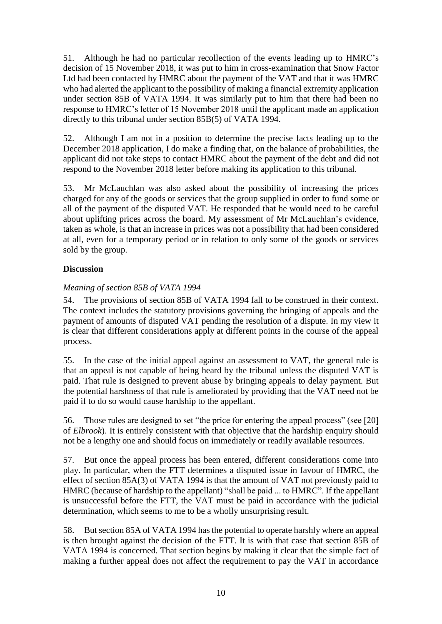51. Although he had no particular recollection of the events leading up to HMRC's decision of 15 November 2018, it was put to him in cross-examination that Snow Factor Ltd had been contacted by HMRC about the payment of the VAT and that it was HMRC who had alerted the applicant to the possibility of making a financial extremity application under section 85B of VATA 1994. It was similarly put to him that there had been no response to HMRC's letter of 15 November 2018 until the applicant made an application directly to this tribunal under section 85B(5) of VATA 1994.

52. Although I am not in a position to determine the precise facts leading up to the December 2018 application, I do make a finding that, on the balance of probabilities, the applicant did not take steps to contact HMRC about the payment of the debt and did not respond to the November 2018 letter before making its application to this tribunal.

53. Mr McLauchlan was also asked about the possibility of increasing the prices charged for any of the goods or services that the group supplied in order to fund some or all of the payment of the disputed VAT. He responded that he would need to be careful about uplifting prices across the board. My assessment of Mr McLauchlan's evidence, taken as whole, is that an increase in prices was not a possibility that had been considered at all, even for a temporary period or in relation to only some of the goods or services sold by the group.

## **Discussion**

## *Meaning of section 85B of VATA 1994*

54. The provisions of section 85B of VATA 1994 fall to be construed in their context. The context includes the statutory provisions governing the bringing of appeals and the payment of amounts of disputed VAT pending the resolution of a dispute. In my view it is clear that different considerations apply at different points in the course of the appeal process.

55. In the case of the initial appeal against an assessment to VAT, the general rule is that an appeal is not capable of being heard by the tribunal unless the disputed VAT is paid. That rule is designed to prevent abuse by bringing appeals to delay payment. But the potential harshness of that rule is ameliorated by providing that the VAT need not be paid if to do so would cause hardship to the appellant.

56. Those rules are designed to set "the price for entering the appeal process" (see [20] of *Elbrook*). It is entirely consistent with that objective that the hardship enquiry should not be a lengthy one and should focus on immediately or readily available resources.

57. But once the appeal process has been entered, different considerations come into play. In particular, when the FTT determines a disputed issue in favour of HMRC, the effect of section 85A(3) of VATA 1994 is that the amount of VAT not previously paid to HMRC (because of hardship to the appellant) "shall be paid ... to HMRC". If the appellant is unsuccessful before the FTT, the VAT must be paid in accordance with the judicial determination, which seems to me to be a wholly unsurprising result.

58. But section 85A of VATA 1994 has the potential to operate harshly where an appeal is then brought against the decision of the FTT. It is with that case that section 85B of VATA 1994 is concerned. That section begins by making it clear that the simple fact of making a further appeal does not affect the requirement to pay the VAT in accordance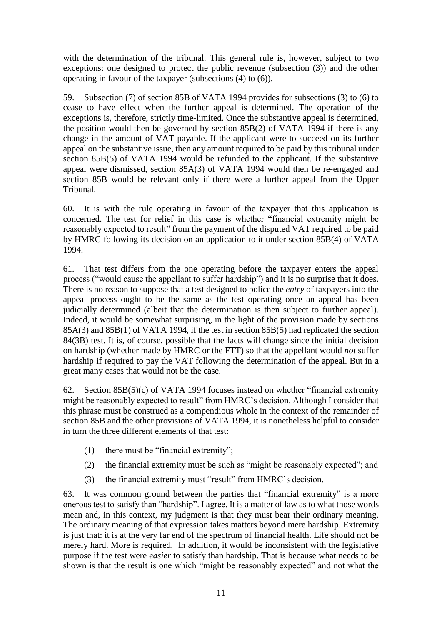with the determination of the tribunal. This general rule is, however, subject to two exceptions: one designed to protect the public revenue (subsection (3)) and the other operating in favour of the taxpayer (subsections (4) to (6)).

59. Subsection (7) of section 85B of VATA 1994 provides for subsections (3) to (6) to cease to have effect when the further appeal is determined. The operation of the exceptions is, therefore, strictly time-limited. Once the substantive appeal is determined, the position would then be governed by section 85B(2) of VATA 1994 if there is any change in the amount of VAT payable. If the applicant were to succeed on its further appeal on the substantive issue, then any amount required to be paid by this tribunal under section 85B(5) of VATA 1994 would be refunded to the applicant. If the substantive appeal were dismissed, section 85A(3) of VATA 1994 would then be re-engaged and section 85B would be relevant only if there were a further appeal from the Upper Tribunal.

60. It is with the rule operating in favour of the taxpayer that this application is concerned. The test for relief in this case is whether "financial extremity might be reasonably expected to result" from the payment of the disputed VAT required to be paid by HMRC following its decision on an application to it under section 85B(4) of VATA 1994.

61. That test differs from the one operating before the taxpayer enters the appeal process ("would cause the appellant to suffer hardship") and it is no surprise that it does. There is no reason to suppose that a test designed to police the *entry* of taxpayers into the appeal process ought to be the same as the test operating once an appeal has been judicially determined (albeit that the determination is then subject to further appeal). Indeed, it would be somewhat surprising, in the light of the provision made by sections 85A(3) and 85B(1) of VATA 1994, if the test in section 85B(5) had replicated the section 84(3B) test. It is, of course, possible that the facts will change since the initial decision on hardship (whether made by HMRC or the FTT) so that the appellant would *not* suffer hardship if required to pay the VAT following the determination of the appeal. But in a great many cases that would not be the case.

62. Section 85B(5)(c) of VATA 1994 focuses instead on whether "financial extremity might be reasonably expected to result" from HMRC's decision. Although I consider that this phrase must be construed as a compendious whole in the context of the remainder of section 85B and the other provisions of VATA 1994, it is nonetheless helpful to consider in turn the three different elements of that test:

- (1) there must be "financial extremity";
- (2) the financial extremity must be such as "might be reasonably expected"; and
- (3) the financial extremity must "result" from HMRC's decision.

63. It was common ground between the parties that "financial extremity" is a more onerous test to satisfy than "hardship". I agree. It is a matter of law as to what those words mean and, in this context, my judgment is that they must bear their ordinary meaning. The ordinary meaning of that expression takes matters beyond mere hardship. Extremity is just that: it is at the very far end of the spectrum of financial health. Life should not be merely hard. More is required. In addition, it would be inconsistent with the legislative purpose if the test were *easier* to satisfy than hardship. That is because what needs to be shown is that the result is one which "might be reasonably expected" and not what the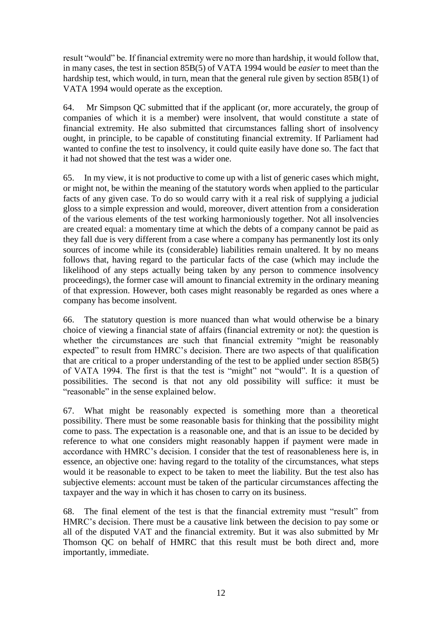result "would" be. If financial extremity were no more than hardship, it would follow that, in many cases, the test in section 85B(5) of VATA 1994 would be *easier* to meet than the hardship test, which would, in turn, mean that the general rule given by section 85B(1) of VATA 1994 would operate as the exception.

64. Mr Simpson QC submitted that if the applicant (or, more accurately, the group of companies of which it is a member) were insolvent, that would constitute a state of financial extremity. He also submitted that circumstances falling short of insolvency ought, in principle, to be capable of constituting financial extremity. If Parliament had wanted to confine the test to insolvency, it could quite easily have done so. The fact that it had not showed that the test was a wider one.

65. In my view, it is not productive to come up with a list of generic cases which might, or might not, be within the meaning of the statutory words when applied to the particular facts of any given case. To do so would carry with it a real risk of supplying a judicial gloss to a simple expression and would, moreover, divert attention from a consideration of the various elements of the test working harmoniously together. Not all insolvencies are created equal: a momentary time at which the debts of a company cannot be paid as they fall due is very different from a case where a company has permanently lost its only sources of income while its (considerable) liabilities remain unaltered. It by no means follows that, having regard to the particular facts of the case (which may include the likelihood of any steps actually being taken by any person to commence insolvency proceedings), the former case will amount to financial extremity in the ordinary meaning of that expression. However, both cases might reasonably be regarded as ones where a company has become insolvent.

66. The statutory question is more nuanced than what would otherwise be a binary choice of viewing a financial state of affairs (financial extremity or not): the question is whether the circumstances are such that financial extremity "might be reasonably expected" to result from HMRC's decision. There are two aspects of that qualification that are critical to a proper understanding of the test to be applied under section 85B(5) of VATA 1994. The first is that the test is "might" not "would". It is a question of possibilities. The second is that not any old possibility will suffice: it must be "reasonable" in the sense explained below.

67. What might be reasonably expected is something more than a theoretical possibility. There must be some reasonable basis for thinking that the possibility might come to pass. The expectation is a reasonable one, and that is an issue to be decided by reference to what one considers might reasonably happen if payment were made in accordance with HMRC's decision. I consider that the test of reasonableness here is, in essence, an objective one: having regard to the totality of the circumstances, what steps would it be reasonable to expect to be taken to meet the liability. But the test also has subjective elements: account must be taken of the particular circumstances affecting the taxpayer and the way in which it has chosen to carry on its business.

68. The final element of the test is that the financial extremity must "result" from HMRC's decision. There must be a causative link between the decision to pay some or all of the disputed VAT and the financial extremity. But it was also submitted by Mr Thomson QC on behalf of HMRC that this result must be both direct and, more importantly, immediate.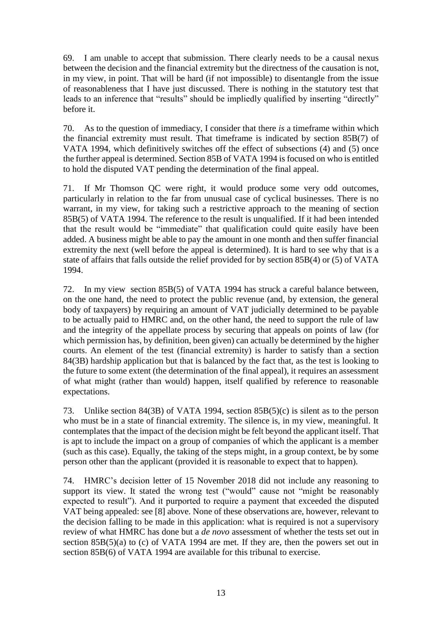69. I am unable to accept that submission. There clearly needs to be a causal nexus between the decision and the financial extremity but the directness of the causation is not, in my view, in point. That will be hard (if not impossible) to disentangle from the issue of reasonableness that I have just discussed. There is nothing in the statutory test that leads to an inference that "results" should be impliedly qualified by inserting "directly" before it.

70. As to the question of immediacy, I consider that there *is* a timeframe within which the financial extremity must result. That timeframe is indicated by section 85B(7) of VATA 1994, which definitively switches off the effect of subsections (4) and (5) once the further appeal is determined. Section 85B of VATA 1994 is focused on who is entitled to hold the disputed VAT pending the determination of the final appeal.

71. If Mr Thomson QC were right, it would produce some very odd outcomes, particularly in relation to the far from unusual case of cyclical businesses. There is no warrant, in my view, for taking such a restrictive approach to the meaning of section 85B(5) of VATA 1994. The reference to the result is unqualified. If it had been intended that the result would be "immediate" that qualification could quite easily have been added. A business might be able to pay the amount in one month and then suffer financial extremity the next (well before the appeal is determined). It is hard to see why that is a state of affairs that falls outside the relief provided for by section 85B(4) or (5) of VATA 1994.

72. In my view section 85B(5) of VATA 1994 has struck a careful balance between, on the one hand, the need to protect the public revenue (and, by extension, the general body of taxpayers) by requiring an amount of VAT judicially determined to be payable to be actually paid to HMRC and, on the other hand, the need to support the rule of law and the integrity of the appellate process by securing that appeals on points of law (for which permission has, by definition, been given) can actually be determined by the higher courts. An element of the test (financial extremity) is harder to satisfy than a section 84(3B) hardship application but that is balanced by the fact that, as the test is looking to the future to some extent (the determination of the final appeal), it requires an assessment of what might (rather than would) happen, itself qualified by reference to reasonable expectations.

73. Unlike section 84(3B) of VATA 1994, section 85B(5)(c) is silent as to the person who must be in a state of financial extremity. The silence is, in my view, meaningful. It contemplates that the impact of the decision might be felt beyond the applicant itself. That is apt to include the impact on a group of companies of which the applicant is a member (such as this case). Equally, the taking of the steps might, in a group context, be by some person other than the applicant (provided it is reasonable to expect that to happen).

74. HMRC's decision letter of 15 November 2018 did not include any reasoning to support its view. It stated the wrong test ("would" cause not "might be reasonably expected to result"). And it purported to require a payment that exceeded the disputed VAT being appealed: see [8] above. None of these observations are, however, relevant to the decision falling to be made in this application: what is required is not a supervisory review of what HMRC has done but a *de novo* assessment of whether the tests set out in section 85B(5)(a) to (c) of VATA 1994 are met. If they are, then the powers set out in section 85B(6) of VATA 1994 are available for this tribunal to exercise.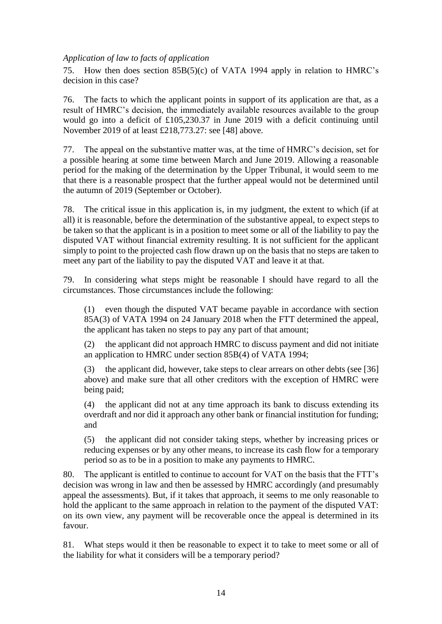### *Application of law to facts of application*

75. How then does section 85B(5)(c) of VATA 1994 apply in relation to HMRC's decision in this case?

76. The facts to which the applicant points in support of its application are that, as a result of HMRC's decision, the immediately available resources available to the group would go into a deficit of £105,230.37 in June 2019 with a deficit continuing until November 2019 of at least £218,773.27: see [48] above.

77. The appeal on the substantive matter was, at the time of HMRC's decision, set for a possible hearing at some time between March and June 2019. Allowing a reasonable period for the making of the determination by the Upper Tribunal, it would seem to me that there is a reasonable prospect that the further appeal would not be determined until the autumn of 2019 (September or October).

78. The critical issue in this application is, in my judgment, the extent to which (if at all) it is reasonable, before the determination of the substantive appeal, to expect steps to be taken so that the applicant is in a position to meet some or all of the liability to pay the disputed VAT without financial extremity resulting. It is not sufficient for the applicant simply to point to the projected cash flow drawn up on the basis that no steps are taken to meet any part of the liability to pay the disputed VAT and leave it at that.

79. In considering what steps might be reasonable I should have regard to all the circumstances. Those circumstances include the following:

(1) even though the disputed VAT became payable in accordance with section 85A(3) of VATA 1994 on 24 January 2018 when the FTT determined the appeal, the applicant has taken no steps to pay any part of that amount;

(2) the applicant did not approach HMRC to discuss payment and did not initiate an application to HMRC under section 85B(4) of VATA 1994;

(3) the applicant did, however, take steps to clear arrears on other debts (see [36] above) and make sure that all other creditors with the exception of HMRC were being paid;

(4) the applicant did not at any time approach its bank to discuss extending its overdraft and nor did it approach any other bank or financial institution for funding; and

(5) the applicant did not consider taking steps, whether by increasing prices or reducing expenses or by any other means, to increase its cash flow for a temporary period so as to be in a position to make any payments to HMRC.

80. The applicant is entitled to continue to account for VAT on the basis that the FTT's decision was wrong in law and then be assessed by HMRC accordingly (and presumably appeal the assessments). But, if it takes that approach, it seems to me only reasonable to hold the applicant to the same approach in relation to the payment of the disputed VAT: on its own view, any payment will be recoverable once the appeal is determined in its favour.

81. What steps would it then be reasonable to expect it to take to meet some or all of the liability for what it considers will be a temporary period?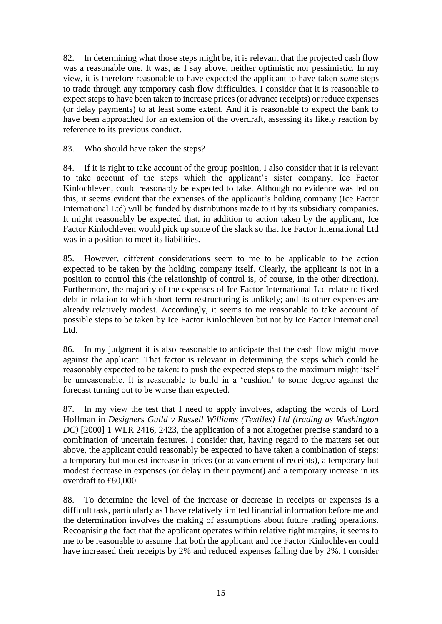82. In determining what those steps might be, it is relevant that the projected cash flow was a reasonable one. It was, as I say above, neither optimistic nor pessimistic. In my view, it is therefore reasonable to have expected the applicant to have taken *some* steps to trade through any temporary cash flow difficulties. I consider that it is reasonable to expect steps to have been taken to increase prices(or advance receipts) or reduce expenses (or delay payments) to at least some extent. And it is reasonable to expect the bank to have been approached for an extension of the overdraft, assessing its likely reaction by reference to its previous conduct.

83. Who should have taken the steps?

84. If it is right to take account of the group position, I also consider that it is relevant to take account of the steps which the applicant's sister company, Ice Factor Kinlochleven, could reasonably be expected to take. Although no evidence was led on this, it seems evident that the expenses of the applicant's holding company (Ice Factor International Ltd) will be funded by distributions made to it by its subsidiary companies. It might reasonably be expected that, in addition to action taken by the applicant, Ice Factor Kinlochleven would pick up some of the slack so that Ice Factor International Ltd was in a position to meet its liabilities.

85. However, different considerations seem to me to be applicable to the action expected to be taken by the holding company itself. Clearly, the applicant is not in a position to control this (the relationship of control is, of course, in the other direction). Furthermore, the majority of the expenses of Ice Factor International Ltd relate to fixed debt in relation to which short-term restructuring is unlikely; and its other expenses are already relatively modest. Accordingly, it seems to me reasonable to take account of possible steps to be taken by Ice Factor Kinlochleven but not by Ice Factor International Ltd.

86. In my judgment it is also reasonable to anticipate that the cash flow might move against the applicant. That factor is relevant in determining the steps which could be reasonably expected to be taken: to push the expected steps to the maximum might itself be unreasonable. It is reasonable to build in a 'cushion' to some degree against the forecast turning out to be worse than expected.

87. In my view the test that I need to apply involves, adapting the words of Lord Hoffman in *Designers Guild v Russell Williams (Textiles) Ltd (trading as Washington DC)* [2000] 1 WLR 2416, 2423, the application of a not altogether precise standard to a combination of uncertain features. I consider that, having regard to the matters set out above, the applicant could reasonably be expected to have taken a combination of steps: a temporary but modest increase in prices (or advancement of receipts), a temporary but modest decrease in expenses (or delay in their payment) and a temporary increase in its overdraft to £80,000.

88. To determine the level of the increase or decrease in receipts or expenses is a difficult task, particularly as I have relatively limited financial information before me and the determination involves the making of assumptions about future trading operations. Recognising the fact that the applicant operates within relative tight margins, it seems to me to be reasonable to assume that both the applicant and Ice Factor Kinlochleven could have increased their receipts by 2% and reduced expenses falling due by 2%. I consider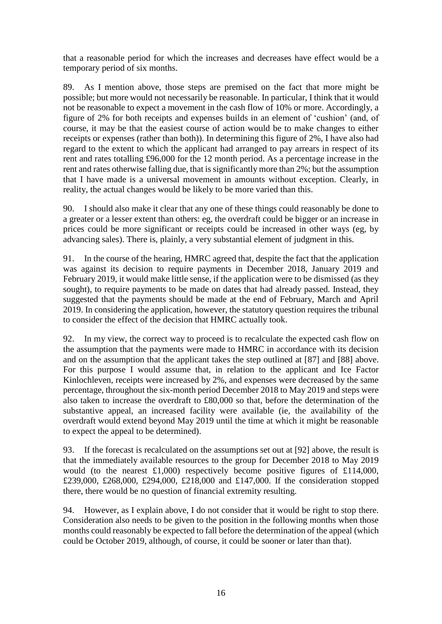that a reasonable period for which the increases and decreases have effect would be a temporary period of six months.

89. As I mention above, those steps are premised on the fact that more might be possible; but more would not necessarily be reasonable. In particular, I think that it would not be reasonable to expect a movement in the cash flow of 10% or more. Accordingly, a figure of 2% for both receipts and expenses builds in an element of 'cushion' (and, of course, it may be that the easiest course of action would be to make changes to either receipts or expenses (rather than both)). In determining this figure of 2%, I have also had regard to the extent to which the applicant had arranged to pay arrears in respect of its rent and rates totalling £96,000 for the 12 month period. As a percentage increase in the rent and rates otherwise falling due, that is significantly more than 2%; but the assumption that I have made is a universal movement in amounts without exception. Clearly, in reality, the actual changes would be likely to be more varied than this.

90. I should also make it clear that any one of these things could reasonably be done to a greater or a lesser extent than others: eg, the overdraft could be bigger or an increase in prices could be more significant or receipts could be increased in other ways (eg, by advancing sales). There is, plainly, a very substantial element of judgment in this.

91. In the course of the hearing, HMRC agreed that, despite the fact that the application was against its decision to require payments in December 2018, January 2019 and February 2019, it would make little sense, if the application were to be dismissed (as they sought), to require payments to be made on dates that had already passed. Instead, they suggested that the payments should be made at the end of February, March and April 2019. In considering the application, however, the statutory question requires the tribunal to consider the effect of the decision that HMRC actually took.

92. In my view, the correct way to proceed is to recalculate the expected cash flow on the assumption that the payments were made to HMRC in accordance with its decision and on the assumption that the applicant takes the step outlined at [87] and [88] above. For this purpose I would assume that, in relation to the applicant and Ice Factor Kinlochleven, receipts were increased by 2%, and expenses were decreased by the same percentage, throughout the six-month period December 2018 to May 2019 and steps were also taken to increase the overdraft to £80,000 so that, before the determination of the substantive appeal, an increased facility were available (ie, the availability of the overdraft would extend beyond May 2019 until the time at which it might be reasonable to expect the appeal to be determined).

93. If the forecast is recalculated on the assumptions set out at [92] above, the result is that the immediately available resources to the group for December 2018 to May 2019 would (to the nearest  $£1,000$ ) respectively become positive figures of £114,000, £239,000, £268,000, £294,000, £218,000 and £147,000. If the consideration stopped there, there would be no question of financial extremity resulting.

94. However, as I explain above, I do not consider that it would be right to stop there. Consideration also needs to be given to the position in the following months when those months could reasonably be expected to fall before the determination of the appeal (which could be October 2019, although, of course, it could be sooner or later than that).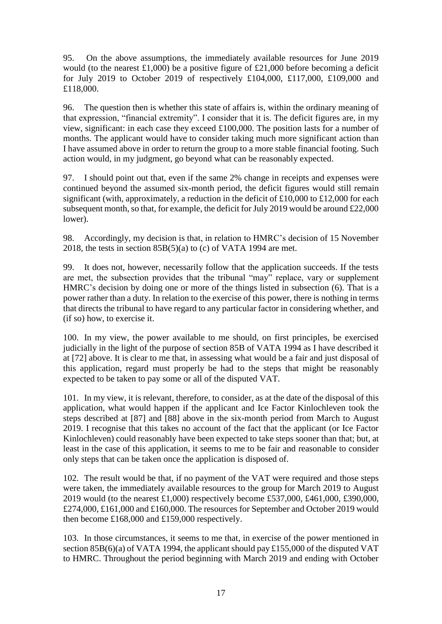95. On the above assumptions, the immediately available resources for June 2019 would (to the nearest £1,000) be a positive figure of £21,000 before becoming a deficit for July 2019 to October 2019 of respectively £104,000, £117,000, £109,000 and £118,000.

96. The question then is whether this state of affairs is, within the ordinary meaning of that expression, "financial extremity". I consider that it is. The deficit figures are, in my view, significant: in each case they exceed £100,000. The position lasts for a number of months. The applicant would have to consider taking much more significant action than I have assumed above in order to return the group to a more stable financial footing. Such action would, in my judgment, go beyond what can be reasonably expected.

97. I should point out that, even if the same 2% change in receipts and expenses were continued beyond the assumed six-month period, the deficit figures would still remain significant (with, approximately, a reduction in the deficit of £10,000 to £12,000 for each subsequent month, so that, for example, the deficit for July 2019 would be around £22,000 lower).

98. Accordingly, my decision is that, in relation to HMRC's decision of 15 November 2018, the tests in section  $85B(5)(a)$  to (c) of VATA 1994 are met.

99. It does not, however, necessarily follow that the application succeeds. If the tests are met, the subsection provides that the tribunal "may" replace, vary or supplement HMRC's decision by doing one or more of the things listed in subsection (6). That is a power rather than a duty. In relation to the exercise of this power, there is nothing in terms that directs the tribunal to have regard to any particular factor in considering whether, and (if so) how, to exercise it.

100. In my view, the power available to me should, on first principles, be exercised judicially in the light of the purpose of section 85B of VATA 1994 as I have described it at [72] above. It is clear to me that, in assessing what would be a fair and just disposal of this application, regard must properly be had to the steps that might be reasonably expected to be taken to pay some or all of the disputed VAT.

101. In my view, it is relevant, therefore, to consider, as at the date of the disposal of this application, what would happen if the applicant and Ice Factor Kinlochleven took the steps described at [87] and [88] above in the six-month period from March to August 2019. I recognise that this takes no account of the fact that the applicant (or Ice Factor Kinlochleven) could reasonably have been expected to take steps sooner than that; but, at least in the case of this application, it seems to me to be fair and reasonable to consider only steps that can be taken once the application is disposed of.

102. The result would be that, if no payment of the VAT were required and those steps were taken, the immediately available resources to the group for March 2019 to August 2019 would (to the nearest £1,000) respectively become £537,000, £461,000, £390,000, £274,000, £161,000 and £160,000. The resources for September and October 2019 would then become £168,000 and £159,000 respectively.

103. In those circumstances, it seems to me that, in exercise of the power mentioned in section 85B(6)(a) of VATA 1994, the applicant should pay £155,000 of the disputed VAT to HMRC. Throughout the period beginning with March 2019 and ending with October